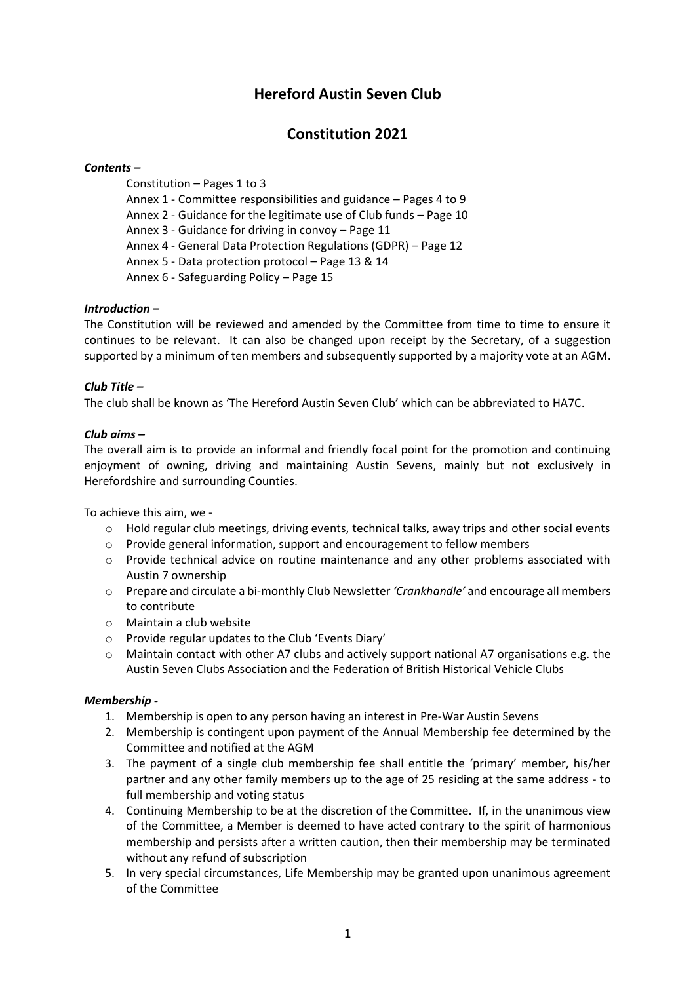# **Hereford Austin Seven Club**

# **Constitution 2021**

# *Contents –*

Constitution – Pages 1 to 3 Annex 1 - Committee responsibilities and guidance – Pages 4 to 9 Annex 2 - Guidance for the legitimate use of Club funds – Page 10 Annex 3 - Guidance for driving in convoy – Page 11 Annex 4 - General Data Protection Regulations (GDPR) – Page 12 Annex 5 - Data protection protocol – Page 13 & 14 Annex 6 - Safeguarding Policy – Page 15

# *Introduction –*

The Constitution will be reviewed and amended by the Committee from time to time to ensure it continues to be relevant. It can also be changed upon receipt by the Secretary, of a suggestion supported by a minimum of ten members and subsequently supported by a majority vote at an AGM.

# *Club Title –*

The club shall be known as 'The Hereford Austin Seven Club' which can be abbreviated to HA7C.

#### *Club aims –*

The overall aim is to provide an informal and friendly focal point for the promotion and continuing enjoyment of owning, driving and maintaining Austin Sevens, mainly but not exclusively in Herefordshire and surrounding Counties.

To achieve this aim, we -

- $\circ$  Hold regular club meetings, driving events, technical talks, away trips and other social events
- $\circ$  Provide general information, support and encouragement to fellow members
- $\circ$  Provide technical advice on routine maintenance and any other problems associated with Austin 7 ownership
- o Prepare and circulate a bi-monthly Club Newsletter *'Crankhandle'* and encourage all members to contribute
- o Maintain a club website
- o Provide regular updates to the Club 'Events Diary'
- $\circ$  Maintain contact with other A7 clubs and actively support national A7 organisations e.g. the Austin Seven Clubs Association and the Federation of British Historical Vehicle Clubs

#### *Membership -*

- 1. Membership is open to any person having an interest in Pre-War Austin Sevens
- 2. Membership is contingent upon payment of the Annual Membership fee determined by the Committee and notified at the AGM
- 3. The payment of a single club membership fee shall entitle the 'primary' member, his/her partner and any other family members up to the age of 25 residing at the same address - to full membership and voting status
- 4. Continuing Membership to be at the discretion of the Committee. If, in the unanimous view of the Committee, a Member is deemed to have acted contrary to the spirit of harmonious membership and persists after a written caution, then their membership may be terminated without any refund of subscription
- 5. In very special circumstances, Life Membership may be granted upon unanimous agreement of the Committee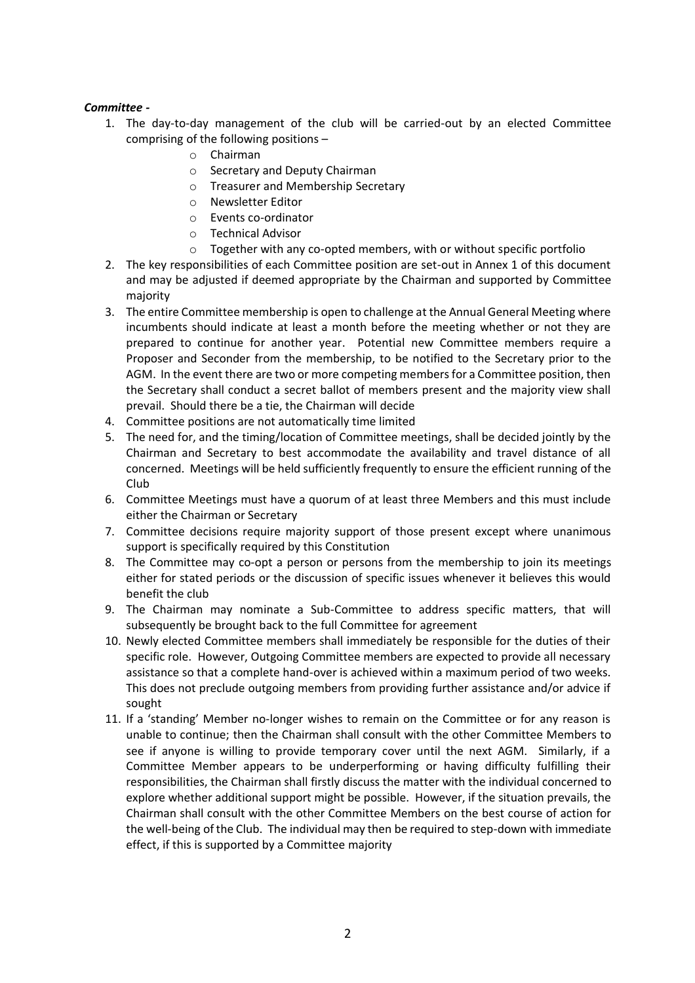# *Committee -*

- 1. The day-to-day management of the club will be carried-out by an elected Committee comprising of the following positions –
	- o Chairman
	- o Secretary and Deputy Chairman
	- o Treasurer and Membership Secretary
	- o Newsletter Editor
	- o Events co-ordinator
	- o Technical Advisor
	- o Together with any co-opted members, with or without specific portfolio
- 2. The key responsibilities of each Committee position are set-out in Annex 1 of this document and may be adjusted if deemed appropriate by the Chairman and supported by Committee majority
- 3. The entire Committee membership is open to challenge at the Annual General Meeting where incumbents should indicate at least a month before the meeting whether or not they are prepared to continue for another year. Potential new Committee members require a Proposer and Seconder from the membership, to be notified to the Secretary prior to the AGM. In the event there are two or more competing members for a Committee position, then the Secretary shall conduct a secret ballot of members present and the majority view shall prevail. Should there be a tie, the Chairman will decide
- 4. Committee positions are not automatically time limited
- 5. The need for, and the timing/location of Committee meetings, shall be decided jointly by the Chairman and Secretary to best accommodate the availability and travel distance of all concerned. Meetings will be held sufficiently frequently to ensure the efficient running of the Club
- 6. Committee Meetings must have a quorum of at least three Members and this must include either the Chairman or Secretary
- 7. Committee decisions require majority support of those present except where unanimous support is specifically required by this Constitution
- 8. The Committee may co-opt a person or persons from the membership to join its meetings either for stated periods or the discussion of specific issues whenever it believes this would benefit the club
- 9. The Chairman may nominate a Sub-Committee to address specific matters, that will subsequently be brought back to the full Committee for agreement
- 10. Newly elected Committee members shall immediately be responsible for the duties of their specific role. However, Outgoing Committee members are expected to provide all necessary assistance so that a complete hand-over is achieved within a maximum period of two weeks. This does not preclude outgoing members from providing further assistance and/or advice if sought
- 11. If a 'standing' Member no-longer wishes to remain on the Committee or for any reason is unable to continue; then the Chairman shall consult with the other Committee Members to see if anyone is willing to provide temporary cover until the next AGM. Similarly, if a Committee Member appears to be underperforming or having difficulty fulfilling their responsibilities, the Chairman shall firstly discuss the matter with the individual concerned to explore whether additional support might be possible. However, if the situation prevails, the Chairman shall consult with the other Committee Members on the best course of action for the well-being of the Club. The individual may then be required to step-down with immediate effect, if this is supported by a Committee majority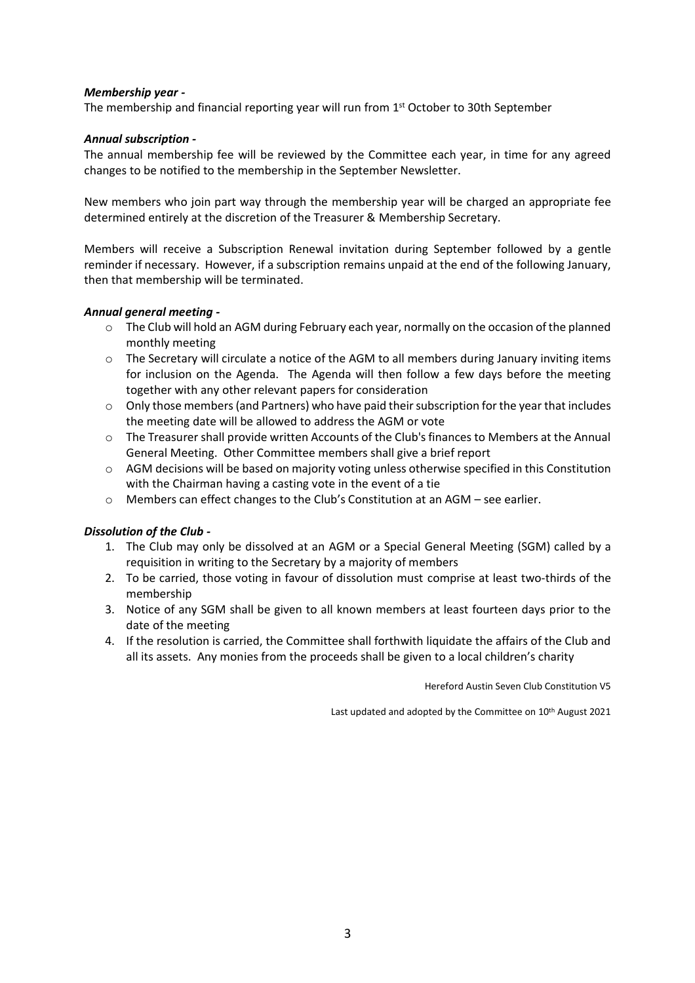# *Membership year -*

The membership and financial reporting year will run from 1<sup>st</sup> October to 30th September

# *Annual subscription -*

The annual membership fee will be reviewed by the Committee each year, in time for any agreed changes to be notified to the membership in the September Newsletter.

New members who join part way through the membership year will be charged an appropriate fee determined entirely at the discretion of the Treasurer & Membership Secretary.

Members will receive a Subscription Renewal invitation during September followed by a gentle reminder if necessary. However, if a subscription remains unpaid at the end of the following January, then that membership will be terminated.

#### *Annual general meeting -*

- $\circ$  The Club will hold an AGM during February each year, normally on the occasion of the planned monthly meeting
- $\circ$  The Secretary will circulate a notice of the AGM to all members during January inviting items for inclusion on the Agenda. The Agenda will then follow a few days before the meeting together with any other relevant papers for consideration
- $\circ$  Only those members (and Partners) who have paid their subscription for the year that includes the meeting date will be allowed to address the AGM or vote
- o The Treasurer shall provide written Accounts of the Club's finances to Members at the Annual General Meeting. Other Committee members shall give a brief report
- o AGM decisions will be based on majority voting unless otherwise specified in this Constitution with the Chairman having a casting vote in the event of a tie
- o Members can effect changes to the Club's Constitution at an AGM see earlier.

# *Dissolution of the Club -*

- 1. The Club may only be dissolved at an AGM or a Special General Meeting (SGM) called by a requisition in writing to the Secretary by a majority of members
- 2. To be carried, those voting in favour of dissolution must comprise at least two-thirds of the membership
- 3. Notice of any SGM shall be given to all known members at least fourteen days prior to the date of the meeting
- 4. If the resolution is carried, the Committee shall forthwith liquidate the affairs of the Club and all its assets. Any monies from the proceeds shall be given to a local children's charity

Hereford Austin Seven Club Constitution V5

Last updated and adopted by the Committee on 10<sup>th</sup> August 2021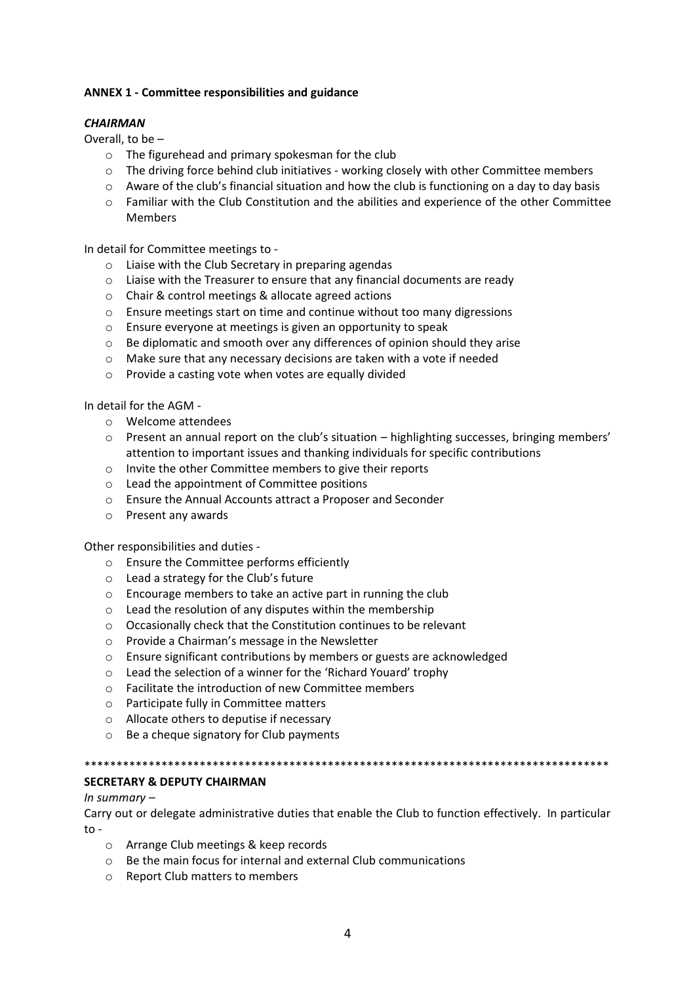# **ANNEX 1 - Committee responsibilities and guidance**

# **CHAIRMAN**

Overall, to be -

- o The figurehead and primary spokesman for the club
- $\circ$  The driving force behind club initiatives working closely with other Committee members
- $\circ$  Aware of the club's financial situation and how the club is functioning on a day to day basis
- o Familiar with the Club Constitution and the abilities and experience of the other Committee **Members**

In detail for Committee meetings to -

- $\circ$  Liaise with the Club Secretary in preparing agendas
- $\circ$  Liaise with the Treasurer to ensure that any financial documents are ready
- o Chair & control meetings & allocate agreed actions
- o Ensure meetings start on time and continue without too many digressions
- o Ensure everyone at meetings is given an opportunity to speak
- $\circ$  Be diplomatic and smooth over any differences of opinion should they arise
- o Make sure that any necessary decisions are taken with a vote if needed
- o Provide a casting vote when votes are equally divided

In detail for the AGM -

- o Welcome attendees
- $\circ$  Present an annual report on the club's situation highlighting successes, bringing members' attention to important issues and thanking individuals for specific contributions
- o Invite the other Committee members to give their reports
- o Lead the appointment of Committee positions
- o Ensure the Annual Accounts attract a Proposer and Seconder
- o Present any awards

Other responsibilities and duties -

- o Ensure the Committee performs efficiently
- $\circ$  Lead a strategy for the Club's future
- o Encourage members to take an active part in running the club
- Lead the resolution of any disputes within the membership  $\circ$
- Occasionally check that the Constitution continues to be relevant
- o Provide a Chairman's message in the Newsletter
- o Ensure significant contributions by members or guests are acknowledged
- $\circ$  Lead the selection of a winner for the 'Richard Youard' trophy
- Facilitate the introduction of new Committee members  $\circ$
- o Participate fully in Committee matters
- o Allocate others to deputise if necessary
- $\circ$  Be a cheque signatory for Club payments

#### 

#### **SECRETARY & DEPUTY CHAIRMAN**

#### In summary  $-$

Carry out or delegate administrative duties that enable the Club to function effectively. In particular  $to -$ 

- o Arrange Club meetings & keep records
- Be the main focus for internal and external Club communications
- o Report Club matters to members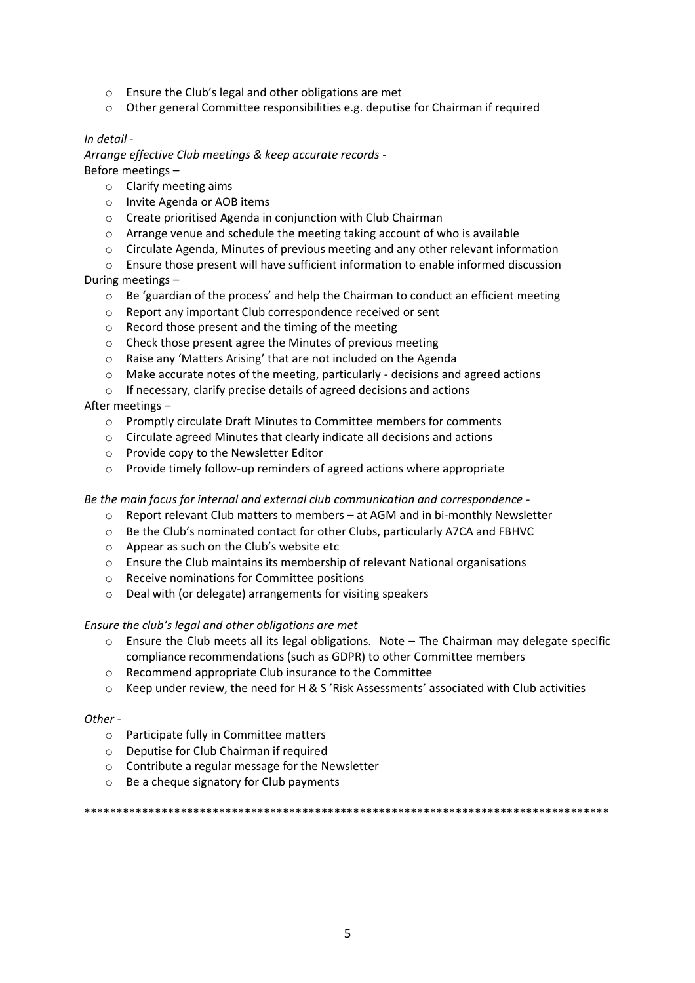- o Ensure the Club's legal and other obligations are met
- o Other general Committee responsibilities e.g. deputise for Chairman if required

# *In detail -*

*Arrange effective Club meetings & keep accurate records -* Before meetings –

- o Clarify meeting aims
- o Invite Agenda or AOB items
- o Create prioritised Agenda in conjunction with Club Chairman
- o Arrange venue and schedule the meeting taking account of who is available
- $\circ$  Circulate Agenda, Minutes of previous meeting and any other relevant information
- o Ensure those present will have sufficient information to enable informed discussion

During meetings –

- $\circ$  Be 'guardian of the process' and help the Chairman to conduct an efficient meeting
- o Report any important Club correspondence received or sent
- o Record those present and the timing of the meeting
- o Check those present agree the Minutes of previous meeting
- o Raise any 'Matters Arising' that are not included on the Agenda
- o Make accurate notes of the meeting, particularly decisions and agreed actions
- o If necessary, clarify precise details of agreed decisions and actions

# After meetings –

- o Promptly circulate Draft Minutes to Committee members for comments
- o Circulate agreed Minutes that clearly indicate all decisions and actions
- o Provide copy to the Newsletter Editor
- $\circ$  Provide timely follow-up reminders of agreed actions where appropriate

#### *Be the main focus for internal and external club communication and correspondence -*

- o Report relevant Club matters to members at AGM and in bi-monthly Newsletter
- o Be the Club's nominated contact for other Clubs, particularly A7CA and FBHVC
- o Appear as such on the Club's website etc
- o Ensure the Club maintains its membership of relevant National organisations
- o Receive nominations for Committee positions
- o Deal with (or delegate) arrangements for visiting speakers

#### *Ensure the club's legal and other obligations are met*

- $\circ$  Ensure the Club meets all its legal obligations. Note The Chairman may delegate specific compliance recommendations (such as GDPR) to other Committee members
- o Recommend appropriate Club insurance to the Committee
- o Keep under review, the need for H & S 'Risk Assessments' associated with Club activities

#### *Other -*

- o Participate fully in Committee matters
- o Deputise for Club Chairman if required
- o Contribute a regular message for the Newsletter
- o Be a cheque signatory for Club payments

#### \*\*\*\*\*\*\*\*\*\*\*\*\*\*\*\*\*\*\*\*\*\*\*\*\*\*\*\*\*\*\*\*\*\*\*\*\*\*\*\*\*\*\*\*\*\*\*\*\*\*\*\*\*\*\*\*\*\*\*\*\*\*\*\*\*\*\*\*\*\*\*\*\*\*\*\*\*\*\*\*\*\*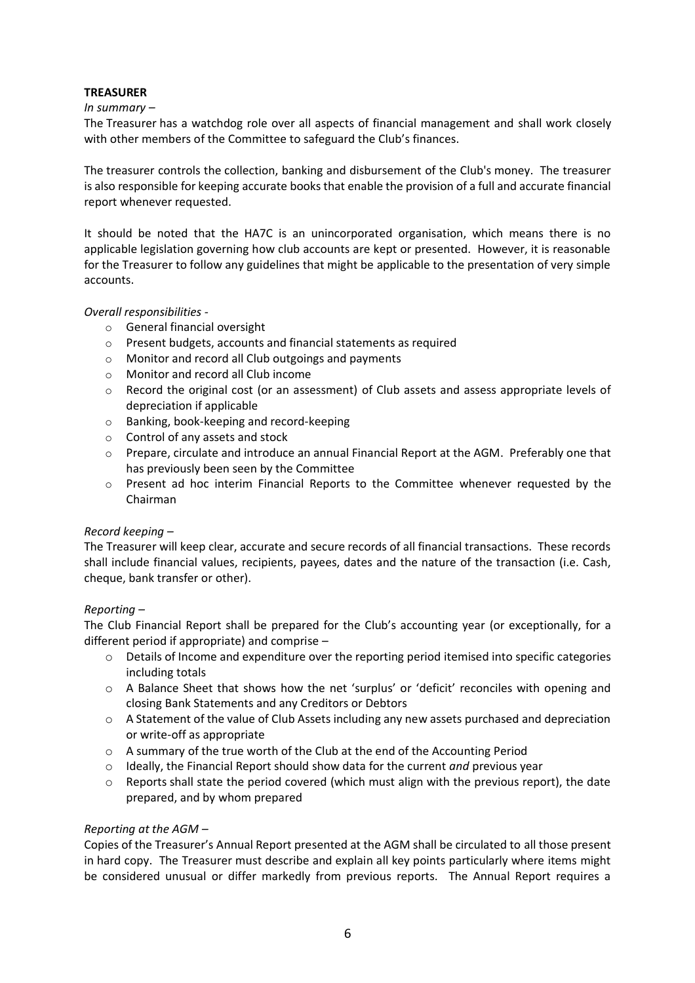# **TREASURER**

#### *In summary –*

The Treasurer has a watchdog role over all aspects of financial management and shall work closely with other members of the Committee to safeguard the Club's finances.

The treasurer controls the collection, banking and disbursement of the Club's money. The treasurer is also responsible for keeping accurate books that enable the provision of a full and accurate financial report whenever requested.

It should be noted that the HA7C is an unincorporated organisation, which means there is no applicable legislation governing how club accounts are kept or presented. However, it is reasonable for the Treasurer to follow any guidelines that might be applicable to the presentation of very simple accounts.

#### *Overall responsibilities -*

- o General financial oversight
- o Present budgets, accounts and financial statements as required
- o Monitor and record all Club outgoings and payments
- o Monitor and record all Club income
- $\circ$  Record the original cost (or an assessment) of Club assets and assess appropriate levels of depreciation if applicable
- o Banking, book-keeping and record-keeping
- o Control of any assets and stock
- o Prepare, circulate and introduce an annual Financial Report at the AGM. Preferably one that has previously been seen by the Committee
- o Present ad hoc interim Financial Reports to the Committee whenever requested by the Chairman

# *Record keeping –*

The Treasurer will keep clear, accurate and secure records of all financial transactions. These records shall include financial values, recipients, payees, dates and the nature of the transaction (i.e. Cash, cheque, bank transfer or other).

#### *Reporting –*

The Club Financial Report shall be prepared for the Club's accounting year (or exceptionally, for a different period if appropriate) and comprise –

- o Details of Income and expenditure over the reporting period itemised into specific categories including totals
- o A Balance Sheet that shows how the net 'surplus' or 'deficit' reconciles with opening and closing Bank Statements and any Creditors or Debtors
- $\circ$  A Statement of the value of Club Assets including any new assets purchased and depreciation or write-off as appropriate
- o A summary of the true worth of the Club at the end of the Accounting Period
- o Ideally, the Financial Report should show data for the current *and* previous year
- $\circ$  Reports shall state the period covered (which must align with the previous report), the date prepared, and by whom prepared

#### *Reporting at the AGM –*

Copies of the Treasurer's Annual Report presented at the AGM shall be circulated to all those present in hard copy. The Treasurer must describe and explain all key points particularly where items might be considered unusual or differ markedly from previous reports. The Annual Report requires a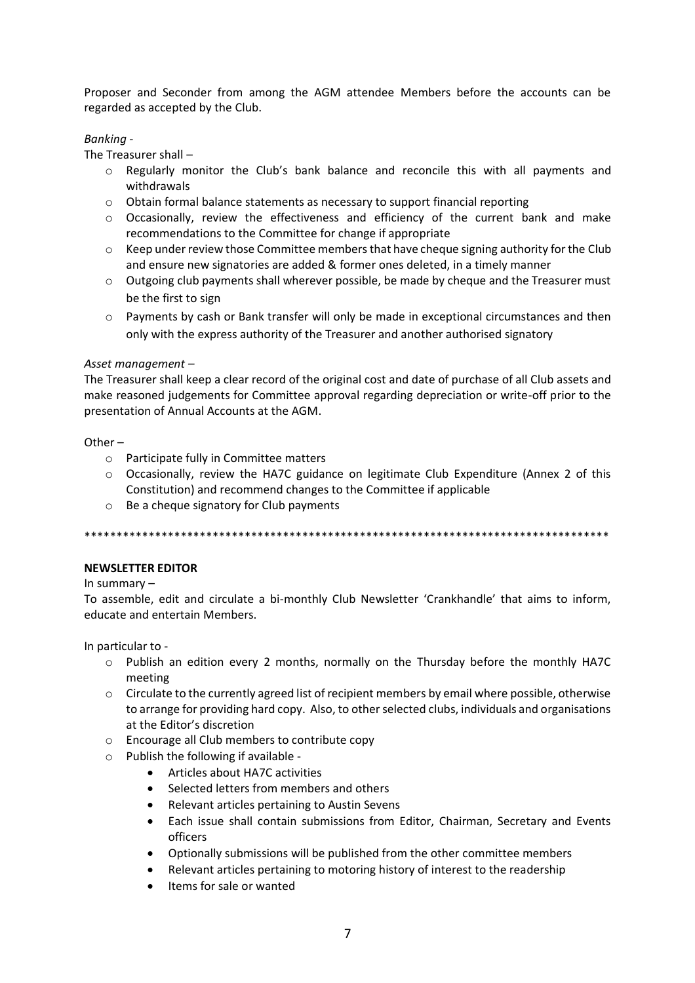Proposer and Seconder from among the AGM attendee Members before the accounts can be regarded as accepted by the Club.

# *Banking -*

The Treasurer shall –

- $\circ$  Regularly monitor the Club's bank balance and reconcile this with all payments and withdrawals
- o Obtain formal balance statements as necessary to support financial reporting
- $\circ$  Occasionally, review the effectiveness and efficiency of the current bank and make recommendations to the Committee for change if appropriate
- $\circ$  Keep under review those Committee members that have cheque signing authority for the Club and ensure new signatories are added & former ones deleted, in a timely manner
- $\circ$  Outgoing club payments shall wherever possible, be made by cheque and the Treasurer must be the first to sign
- $\circ$  Payments by cash or Bank transfer will only be made in exceptional circumstances and then only with the express authority of the Treasurer and another authorised signatory

#### *Asset management –*

The Treasurer shall keep a clear record of the original cost and date of purchase of all Club assets and make reasoned judgements for Committee approval regarding depreciation or write-off prior to the presentation of Annual Accounts at the AGM.

#### Other –

- o Participate fully in Committee matters
- o Occasionally, review the HA7C guidance on legitimate Club Expenditure (Annex 2 of this Constitution) and recommend changes to the Committee if applicable
- o Be a cheque signatory for Club payments

\*\*\*\*\*\*\*\*\*\*\*\*\*\*\*\*\*\*\*\*\*\*\*\*\*\*\*\*\*\*\*\*\*\*\*\*\*\*\*\*\*\*\*\*\*\*\*\*\*\*\*\*\*\*\*\*\*\*\*\*\*\*\*\*\*\*\*\*\*\*\*\*\*\*\*\*\*\*\*\*\*\*

# **NEWSLETTER EDITOR**

#### In summary –

To assemble, edit and circulate a bi-monthly Club Newsletter 'Crankhandle' that aims to inform, educate and entertain Members.

In particular to -

- o Publish an edition every 2 months, normally on the Thursday before the monthly HA7C meeting
- $\circ$  Circulate to the currently agreed list of recipient members by email where possible, otherwise to arrange for providing hard copy. Also, to other selected clubs, individuals and organisations at the Editor's discretion
- o Encourage all Club members to contribute copy
- o Publish the following if available
	- Articles about HA7C activities
	- Selected letters from members and others
	- Relevant articles pertaining to Austin Sevens
	- Each issue shall contain submissions from Editor, Chairman, Secretary and Events officers
	- Optionally submissions will be published from the other committee members
	- Relevant articles pertaining to motoring history of interest to the readership
	- Items for sale or wanted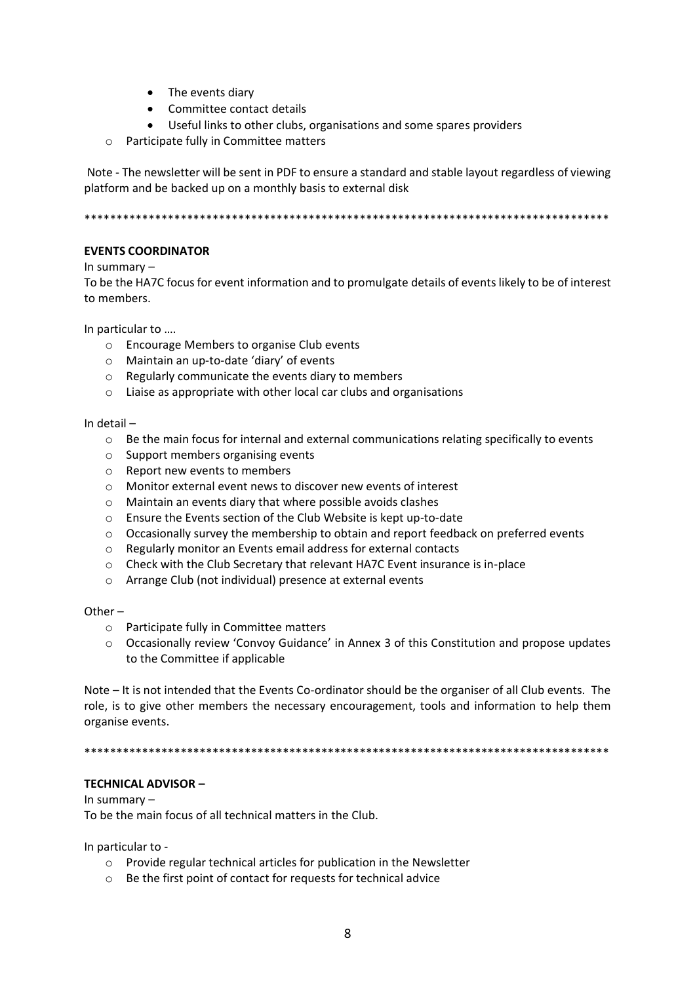- The events diary
- Committee contact details
- Useful links to other clubs, organisations and some spares providers
- Participate fully in Committee matters  $\circ$

Note - The newsletter will be sent in PDF to ensure a standard and stable layout regardless of viewing platform and be backed up on a monthly basis to external disk

#### **EVENTS COORDINATOR**

#### In summary  $-$

To be the HA7C focus for event information and to promulgate details of events likely to be of interest to members.

In particular to ....

- o Encourage Members to organise Club events
- o Maintain an up-to-date 'diary' of events
- o Regularly communicate the events diary to members
- $\circ$  Liaise as appropriate with other local car clubs and organisations

In detail  $-$ 

- $\circ$  Be the main focus for internal and external communications relating specifically to events
- $\circ$  Support members organising events
- o Report new events to members
- Monitor external event news to discover new events of interest
- o Maintain an events diary that where possible avoids clashes
- Ensure the Events section of the Club Website is kept up-to-date  $\circ$
- $\circ$  Occasionally survey the membership to obtain and report feedback on preferred events
- o Regularly monitor an Events email address for external contacts
- o Check with the Club Secretary that relevant HA7C Event insurance is in-place
- o Arrange Club (not individual) presence at external events

#### $Other -$

- o Participate fully in Committee matters
- $\circ$  Occasionally review 'Convoy Guidance' in Annex 3 of this Constitution and propose updates to the Committee if applicable

Note - It is not intended that the Events Co-ordinator should be the organiser of all Club events. The role, is to give other members the necessary encouragement, tools and information to help them organise events.

#### **TECHNICAL ADVISOR -**

In summary  $-$ To be the main focus of all technical matters in the Club.

In particular to -

- o Provide regular technical articles for publication in the Newsletter
- o Be the first point of contact for requests for technical advice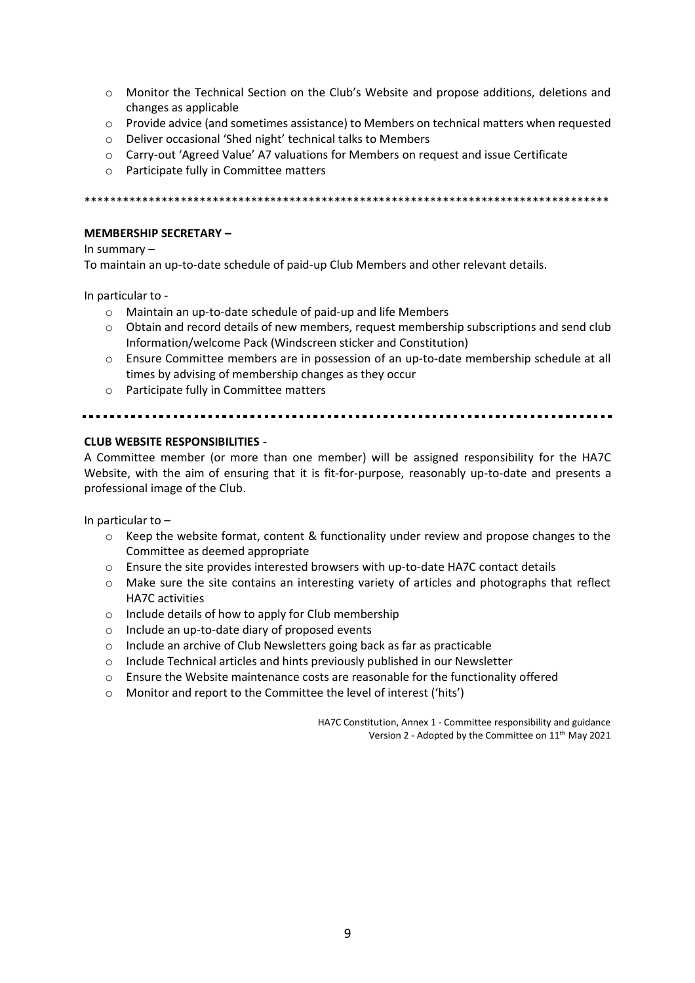- o Monitor the Technical Section on the Club's Website and propose additions, deletions and changes as applicable
- Provide advice (and sometimes assistance) to Members on technical matters when requested
- o Deliver occasional 'Shed night' technical talks to Members
- o Carry-out 'Agreed Value' A7 valuations for Members on request and issue Certificate
- o Participate fully in Committee matters

#### **MEMBERSHIP SECRETARY -**

#### In summary  $-$

To maintain an up-to-date schedule of paid-up Club Members and other relevant details.

In particular to -

- o Maintain an up-to-date schedule of paid-up and life Members
- $\circ$  Obtain and record details of new members, request membership subscriptions and send club Information/welcome Pack (Windscreen sticker and Constitution)
- o Ensure Committee members are in possession of an up-to-date membership schedule at all times by advising of membership changes as they occur
- o Participate fully in Committee matters

#### **CLUB WEBSITE RESPONSIBILITIES -**

A Committee member (or more than one member) will be assigned responsibility for the HA7C Website, with the aim of ensuring that it is fit-for-purpose, reasonably up-to-date and presents a professional image of the Club.

In particular to  $-$ 

- $\circ$  Keep the website format, content & functionality under review and propose changes to the Committee as deemed appropriate
- Ensure the site provides interested browsers with up-to-date HA7C contact details  $\circ$
- Make sure the site contains an interesting variety of articles and photographs that reflect  $\circ$ **HA7C** activities
- $\circ$  Include details of how to apply for Club membership
- $\circ$ Include an up-to-date diary of proposed events
- o Include an archive of Club Newsletters going back as far as practicable
- Include Technical articles and hints previously published in our Newsletter  $\circ$
- o Ensure the Website maintenance costs are reasonable for the functionality offered
- Monitor and report to the Committee the level of interest ('hits')  $\circ$

HA7C Constitution, Annex 1 - Committee responsibility and guidance Version 2 - Adopted by the Committee on 11<sup>th</sup> May 2021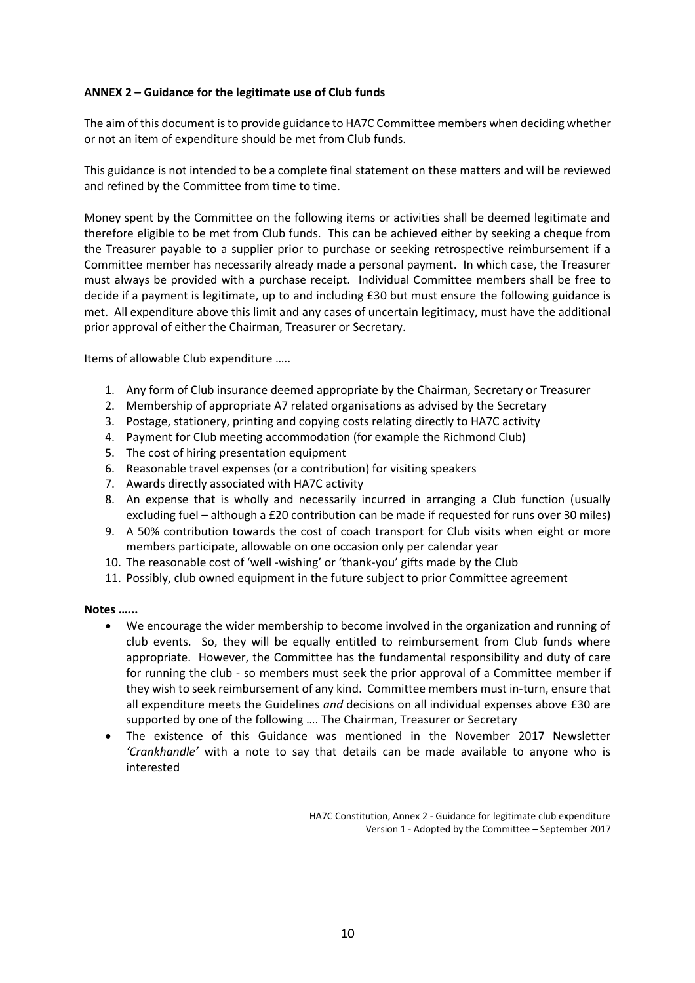# **ANNEX 2 – Guidance for the legitimate use of Club funds**

The aim of this document is to provide guidance to HA7C Committee members when deciding whether or not an item of expenditure should be met from Club funds.

This guidance is not intended to be a complete final statement on these matters and will be reviewed and refined by the Committee from time to time.

Money spent by the Committee on the following items or activities shall be deemed legitimate and therefore eligible to be met from Club funds. This can be achieved either by seeking a cheque from the Treasurer payable to a supplier prior to purchase or seeking retrospective reimbursement if a Committee member has necessarily already made a personal payment. In which case, the Treasurer must always be provided with a purchase receipt. Individual Committee members shall be free to decide if a payment is legitimate, up to and including £30 but must ensure the following guidance is met. All expenditure above this limit and any cases of uncertain legitimacy, must have the additional prior approval of either the Chairman, Treasurer or Secretary.

Items of allowable Club expenditure …..

- 1. Any form of Club insurance deemed appropriate by the Chairman, Secretary or Treasurer
- 2. Membership of appropriate A7 related organisations as advised by the Secretary
- 3. Postage, stationery, printing and copying costs relating directly to HA7C activity
- 4. Payment for Club meeting accommodation (for example the Richmond Club)
- 5. The cost of hiring presentation equipment
- 6. Reasonable travel expenses (or a contribution) for visiting speakers
- 7. Awards directly associated with HA7C activity
- 8. An expense that is wholly and necessarily incurred in arranging a Club function (usually excluding fuel – although a £20 contribution can be made if requested for runs over 30 miles)
- 9. A 50% contribution towards the cost of coach transport for Club visits when eight or more members participate, allowable on one occasion only per calendar year
- 10. The reasonable cost of 'well -wishing' or 'thank-you' gifts made by the Club
- 11. Possibly, club owned equipment in the future subject to prior Committee agreement

**Notes …...**

- We encourage the wider membership to become involved in the organization and running of club events. So, they will be equally entitled to reimbursement from Club funds where appropriate. However, the Committee has the fundamental responsibility and duty of care for running the club - so members must seek the prior approval of a Committee member if they wish to seek reimbursement of any kind. Committee members must in-turn, ensure that all expenditure meets the Guidelines *and* decisions on all individual expenses above £30 are supported by one of the following …. The Chairman, Treasurer or Secretary
- The existence of this Guidance was mentioned in the November 2017 Newsletter *'Crankhandle'* with a note to say that details can be made available to anyone who is interested

HA7C Constitution, Annex 2 - Guidance for legitimate club expenditure Version 1 - Adopted by the Committee – September 2017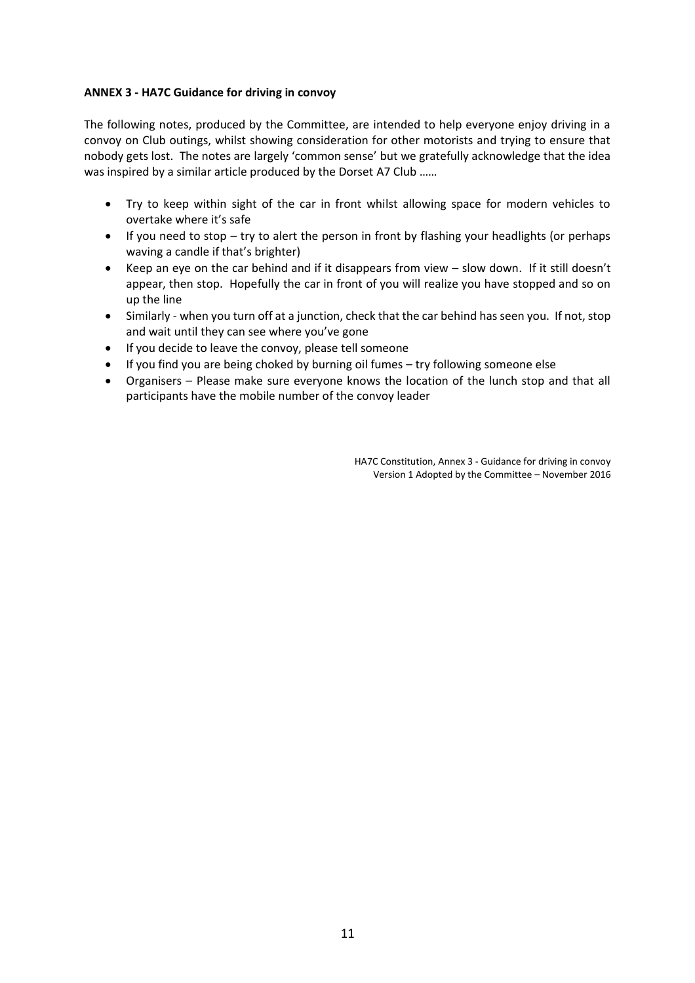# **ANNEX 3 - HA7C Guidance for driving in convoy**

The following notes, produced by the Committee, are intended to help everyone enjoy driving in a convoy on Club outings, whilst showing consideration for other motorists and trying to ensure that nobody gets lost. The notes are largely 'common sense' but we gratefully acknowledge that the idea was inspired by a similar article produced by the Dorset A7 Club ......

- Try to keep within sight of the car in front whilst allowing space for modern vehicles to overtake where it's safe
- If you need to stop try to alert the person in front by flashing your headlights (or perhaps waving a candle if that's brighter)
- Keep an eye on the car behind and if it disappears from view slow down. If it still doesn't appear, then stop. Hopefully the car in front of you will realize you have stopped and so on up the line
- Similarly when you turn off at a junction, check that the car behind has seen you. If not, stop and wait until they can see where you've gone
- If you decide to leave the convoy, please tell someone
- If you find you are being choked by burning oil fumes try following someone else
- Organisers Please make sure everyone knows the location of the lunch stop and that all participants have the mobile number of the convoy leader

HA7C Constitution, Annex 3 - Guidance for driving in convoy Version 1 Adopted by the Committee – November 2016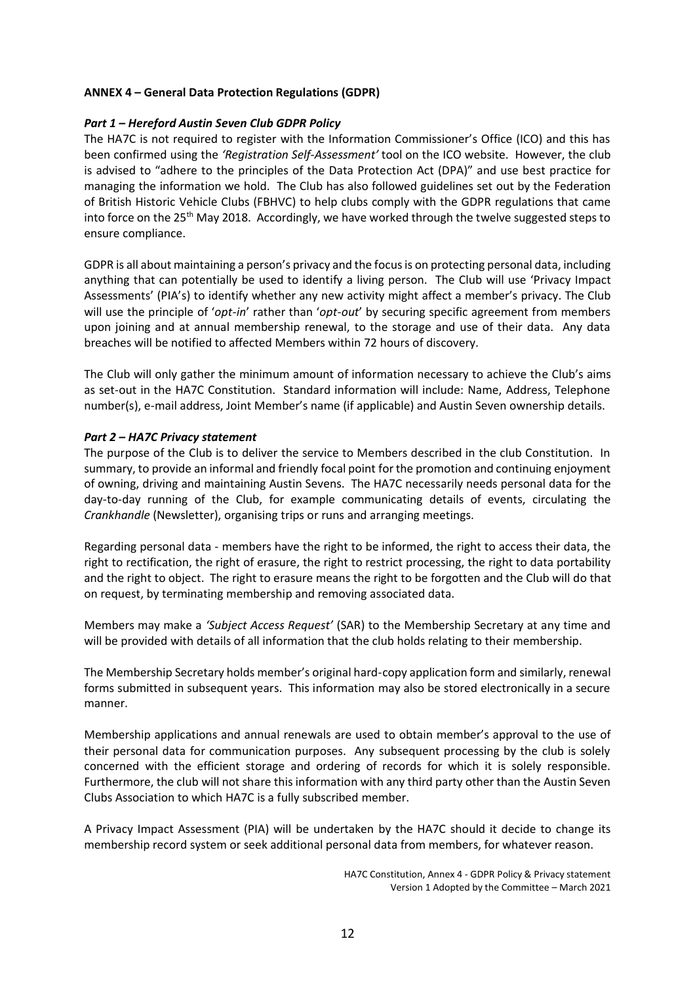# **ANNEX 4 – General Data Protection Regulations (GDPR)**

# *Part 1 – Hereford Austin Seven Club GDPR Policy*

The HA7C is not required to register with the Information Commissioner's Office (ICO) and this has been confirmed using the *'Registration Self-Assessment'* tool on the ICO website. However, the club is advised to "adhere to the principles of the Data Protection Act (DPA)" and use best practice for managing the information we hold. The Club has also followed guidelines set out by the Federation of British Historic Vehicle Clubs (FBHVC) to help clubs comply with the GDPR regulations that came into force on the 25<sup>th</sup> May 2018. Accordingly, we have worked through the twelve suggested steps to ensure compliance.

GDPR is all about maintaining a person's privacy and the focus is on protecting personal data, including anything that can potentially be used to identify a living person. The Club will use 'Privacy Impact Assessments' (PIA's) to identify whether any new activity might affect a member's privacy. The Club will use the principle of '*opt-in*' rather than '*opt-out*' by securing specific agreement from members upon joining and at annual membership renewal, to the storage and use of their data. Any data breaches will be notified to affected Members within 72 hours of discovery.

The Club will only gather the minimum amount of information necessary to achieve the Club's aims as set-out in the HA7C Constitution. Standard information will include: Name, Address, Telephone number(s), e-mail address, Joint Member's name (if applicable) and Austin Seven ownership details.

# *Part 2 – HA7C Privacy statement*

The purpose of the Club is to deliver the service to Members described in the club Constitution. In summary, to provide an informal and friendly focal point for the promotion and continuing enjoyment of owning, driving and maintaining Austin Sevens. The HA7C necessarily needs personal data for the day-to-day running of the Club, for example communicating details of events, circulating the *Crankhandle* (Newsletter), organising trips or runs and arranging meetings.

Regarding personal data - members have the right to be informed, the right to access their data, the right to rectification, the right of erasure, the right to restrict processing, the right to data portability and the right to object. The right to erasure means the right to be forgotten and the Club will do that on request, by terminating membership and removing associated data.

Members may make a *'Subject Access Request'* (SAR) to the Membership Secretary at any time and will be provided with details of all information that the club holds relating to their membership.

The Membership Secretary holds member's original hard-copy application form and similarly, renewal forms submitted in subsequent years. This information may also be stored electronically in a secure manner.

Membership applications and annual renewals are used to obtain member's approval to the use of their personal data for communication purposes. Any subsequent processing by the club is solely concerned with the efficient storage and ordering of records for which it is solely responsible. Furthermore, the club will not share this information with any third party other than the Austin Seven Clubs Association to which HA7C is a fully subscribed member.

A Privacy Impact Assessment (PIA) will be undertaken by the HA7C should it decide to change its membership record system or seek additional personal data from members, for whatever reason.

HA7C Constitution, Annex 4 - GDPR Policy & Privacy statement Version 1 Adopted by the Committee – March 2021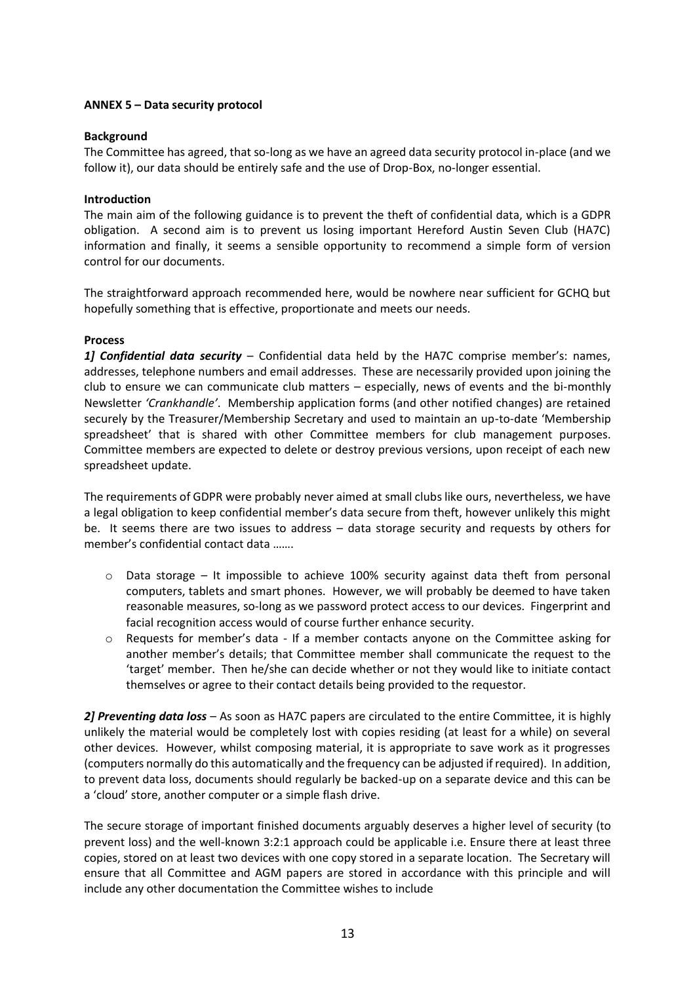# **ANNEX 5 – Data security protocol**

# **Background**

The Committee has agreed, that so-long as we have an agreed data security protocol in-place (and we follow it), our data should be entirely safe and the use of Drop-Box, no-longer essential.

# **Introduction**

The main aim of the following guidance is to prevent the theft of confidential data, which is a GDPR obligation. A second aim is to prevent us losing important Hereford Austin Seven Club (HA7C) information and finally, it seems a sensible opportunity to recommend a simple form of version control for our documents.

The straightforward approach recommended here, would be nowhere near sufficient for GCHQ but hopefully something that is effective, proportionate and meets our needs.

# **Process**

*1] Confidential data security* – Confidential data held by the HA7C comprise member's: names, addresses, telephone numbers and email addresses. These are necessarily provided upon joining the club to ensure we can communicate club matters – especially, news of events and the bi-monthly Newsletter *'Crankhandle'*. Membership application forms (and other notified changes) are retained securely by the Treasurer/Membership Secretary and used to maintain an up-to-date 'Membership spreadsheet' that is shared with other Committee members for club management purposes. Committee members are expected to delete or destroy previous versions, upon receipt of each new spreadsheet update.

The requirements of GDPR were probably never aimed at small clubs like ours, nevertheless, we have a legal obligation to keep confidential member's data secure from theft, however unlikely this might be. It seems there are two issues to address – data storage security and requests by others for member's confidential contact data …….

- $\circ$  Data storage It impossible to achieve 100% security against data theft from personal computers, tablets and smart phones. However, we will probably be deemed to have taken reasonable measures, so-long as we password protect access to our devices. Fingerprint and facial recognition access would of course further enhance security.
- $\circ$  Requests for member's data If a member contacts anyone on the Committee asking for another member's details; that Committee member shall communicate the request to the 'target' member. Then he/she can decide whether or not they would like to initiate contact themselves or agree to their contact details being provided to the requestor.

*2] Preventing data loss* – As soon as HA7C papers are circulated to the entire Committee, it is highly unlikely the material would be completely lost with copies residing (at least for a while) on several other devices. However, whilst composing material, it is appropriate to save work as it progresses (computers normally do this automatically and the frequency can be adjusted if required). In addition, to prevent data loss, documents should regularly be backed-up on a separate device and this can be a 'cloud' store, another computer or a simple flash drive.

The secure storage of important finished documents arguably deserves a higher level of security (to prevent loss) and the well-known 3:2:1 approach could be applicable i.e. Ensure there at least three copies, stored on at least two devices with one copy stored in a separate location. The Secretary will ensure that all Committee and AGM papers are stored in accordance with this principle and will include any other documentation the Committee wishes to include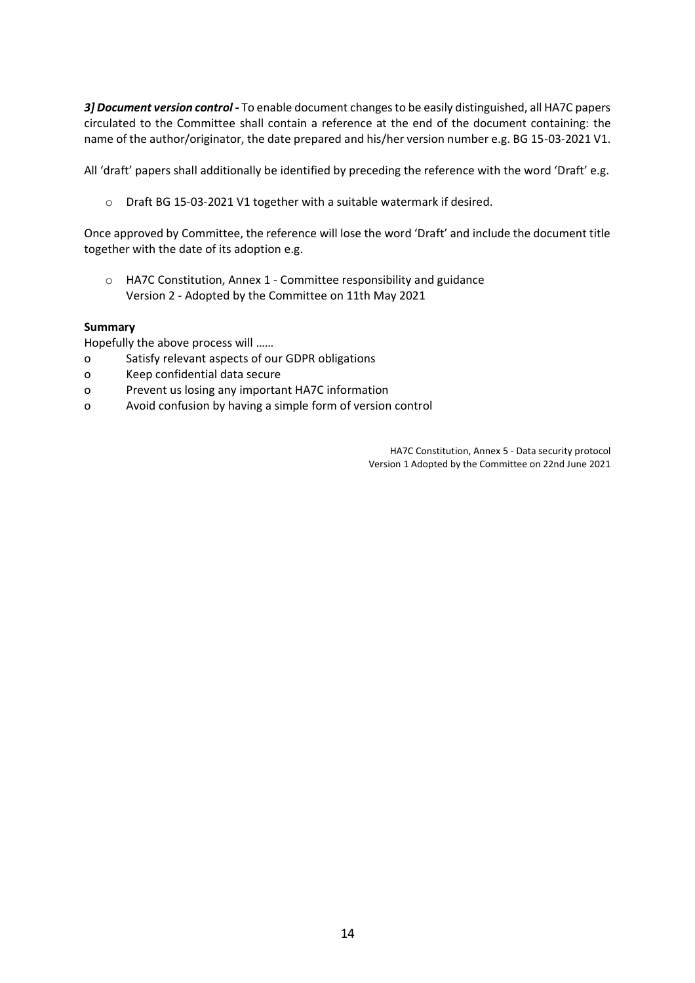*3] Document version control -* To enable document changes to be easily distinguished, all HA7C papers circulated to the Committee shall contain a reference at the end of the document containing: the name of the author/originator, the date prepared and his/her version number e.g. BG 15-03-2021 V1.

All 'draft' papers shall additionally be identified by preceding the reference with the word 'Draft' e.g.

o Draft BG 15-03-2021 V1 together with a suitable watermark if desired.

Once approved by Committee, the reference will lose the word 'Draft' and include the document title together with the date of its adoption e.g.

o HA7C Constitution, Annex 1 - Committee responsibility and guidance Version 2 - Adopted by the Committee on 11th May 2021

# **Summary**

Hopefully the above process will ……

- o Satisfy relevant aspects of our GDPR obligations
- o Keep confidential data secure
- o Prevent us losing any important HA7C information
- o Avoid confusion by having a simple form of version control

HA7C Constitution, Annex 5 - Data security protocol Version 1 Adopted by the Committee on 22nd June 2021